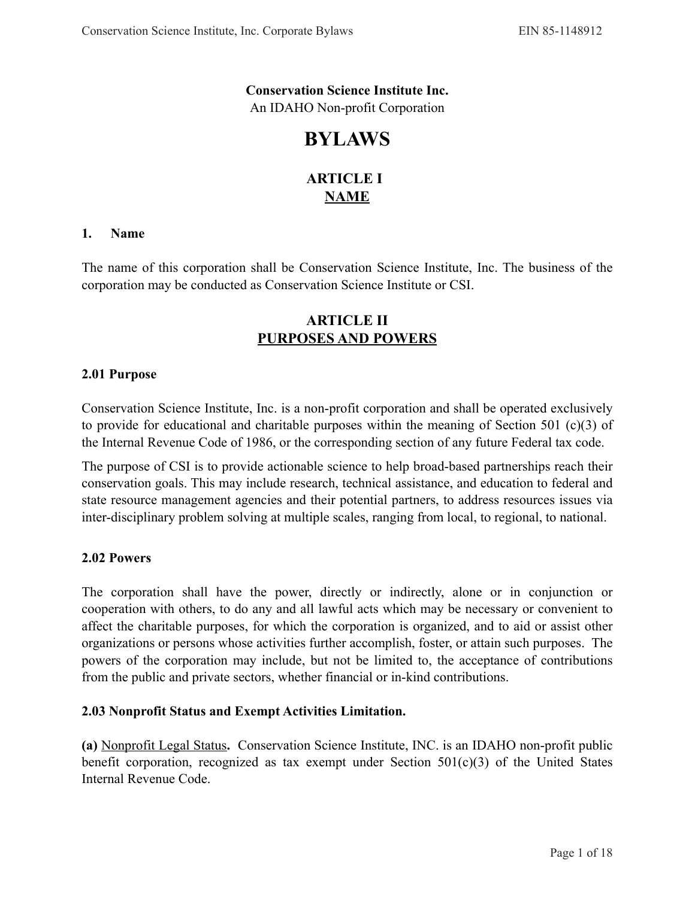## **Conservation Science Institute Inc.**  An IDAHO Non-profit Corporation

# **BYLAWS**

## **ARTICLE I NAME**

## **1. Name**

The name of this corporation shall be Conservation Science Institute, Inc. The business of the corporation may be conducted as Conservation Science Institute or CSI.

## **ARTICLE II PURPOSES AND POWERS**

## **2.01 Purpose**

Conservation Science Institute, Inc. is a non-profit corporation and shall be operated exclusively to provide for educational and charitable purposes within the meaning of Section 501 (c)(3) of the Internal Revenue Code of 1986, or the corresponding section of any future Federal tax code.

The purpose of CSI is to provide actionable science to help broad-based partnerships reach their conservation goals. This may include research, technical assistance, and education to federal and state resource management agencies and their potential partners, to address resources issues via inter-disciplinary problem solving at multiple scales, ranging from local, to regional, to national.

## **2.02 Powers**

The corporation shall have the power, directly or indirectly, alone or in conjunction or cooperation with others, to do any and all lawful acts which may be necessary or convenient to affect the charitable purposes, for which the corporation is organized, and to aid or assist other organizations or persons whose activities further accomplish, foster, or attain such purposes. The powers of the corporation may include, but not be limited to, the acceptance of contributions from the public and private sectors, whether financial or in-kind contributions.

## **2.03 Nonprofit Status and Exempt Activities Limitation.**

**(a)** Nonprofit Legal Status**.** Conservation Science Institute, INC. is an IDAHO non-profit public benefit corporation, recognized as tax exempt under Section 501(c)(3) of the United States Internal Revenue Code.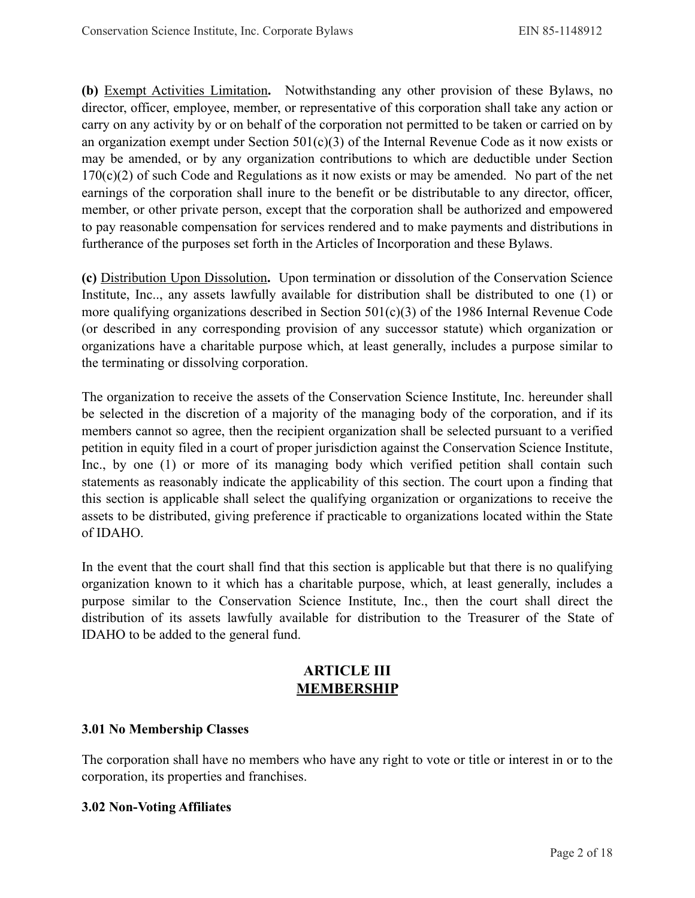**(b)** Exempt Activities Limitation**.** Notwithstanding any other provision of these Bylaws, no director, officer, employee, member, or representative of this corporation shall take any action or carry on any activity by or on behalf of the corporation not permitted to be taken or carried on by an organization exempt under Section 501(c)(3) of the Internal Revenue Code as it now exists or may be amended, or by any organization contributions to which are deductible under Section  $170(c)(2)$  of such Code and Regulations as it now exists or may be amended. No part of the net earnings of the corporation shall inure to the benefit or be distributable to any director, officer, member, or other private person, except that the corporation shall be authorized and empowered to pay reasonable compensation for services rendered and to make payments and distributions in furtherance of the purposes set forth in the Articles of Incorporation and these Bylaws.

**(c)** Distribution Upon Dissolution**.** Upon termination or dissolution of the Conservation Science Institute, Inc.., any assets lawfully available for distribution shall be distributed to one (1) or more qualifying organizations described in Section 501(c)(3) of the 1986 Internal Revenue Code (or described in any corresponding provision of any successor statute) which organization or organizations have a charitable purpose which, at least generally, includes a purpose similar to the terminating or dissolving corporation.

The organization to receive the assets of the Conservation Science Institute, Inc. hereunder shall be selected in the discretion of a majority of the managing body of the corporation, and if its members cannot so agree, then the recipient organization shall be selected pursuant to a verified petition in equity filed in a court of proper jurisdiction against the Conservation Science Institute, Inc., by one (1) or more of its managing body which verified petition shall contain such statements as reasonably indicate the applicability of this section. The court upon a finding that this section is applicable shall select the qualifying organization or organizations to receive the assets to be distributed, giving preference if practicable to organizations located within the State of IDAHO.

In the event that the court shall find that this section is applicable but that there is no qualifying organization known to it which has a charitable purpose, which, at least generally, includes a purpose similar to the Conservation Science Institute, Inc., then the court shall direct the distribution of its assets lawfully available for distribution to the Treasurer of the State of IDAHO to be added to the general fund.

## **ARTICLE III MEMBERSHIP**

## **3.01 No Membership Classes**

The corporation shall have no members who have any right to vote or title or interest in or to the corporation, its properties and franchises.

## **3.02 Non-Voting Affiliates**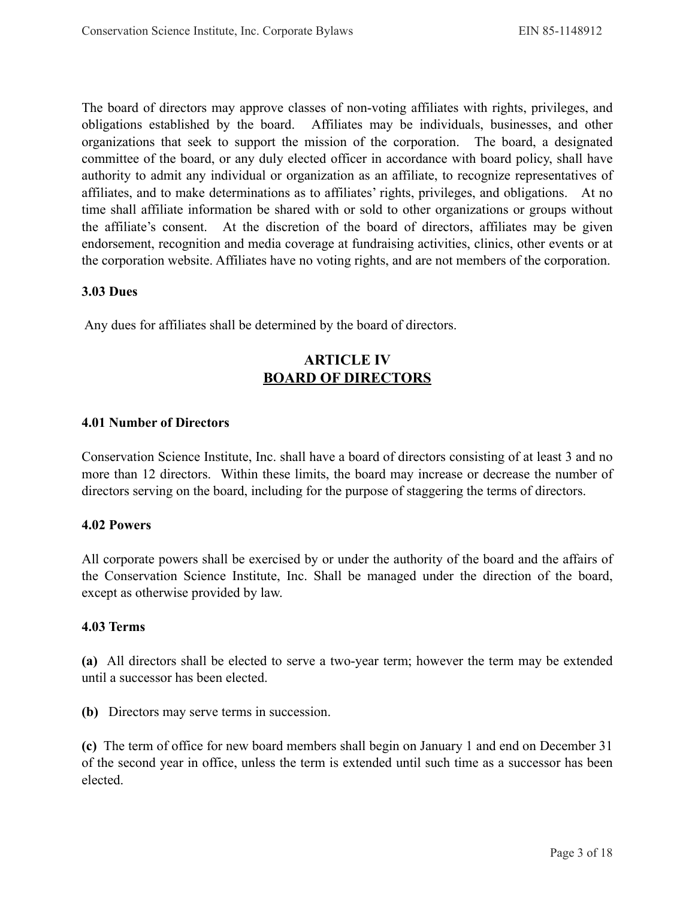The board of directors may approve classes of non-voting affiliates with rights, privileges, and obligations established by the board. Affiliates may be individuals, businesses, and other organizations that seek to support the mission of the corporation. The board, a designated committee of the board, or any duly elected officer in accordance with board policy, shall have authority to admit any individual or organization as an affiliate, to recognize representatives of affiliates, and to make determinations as to affiliates' rights, privileges, and obligations. At no time shall affiliate information be shared with or sold to other organizations or groups without the affiliate's consent. At the discretion of the board of directors, affiliates may be given endorsement, recognition and media coverage at fundraising activities, clinics, other events or at the corporation website. Affiliates have no voting rights, and are not members of the corporation.

## **3.03 Dues**

Any dues for affiliates shall be determined by the board of directors.

## **ARTICLE IV BOARD OF DIRECTORS**

## **4.01 Number of Directors**

Conservation Science Institute, Inc. shall have a board of directors consisting of at least 3 and no more than 12 directors. Within these limits, the board may increase or decrease the number of directors serving on the board, including for the purpose of staggering the terms of directors.

## **4.02 Powers**

All corporate powers shall be exercised by or under the authority of the board and the affairs of the Conservation Science Institute, Inc. Shall be managed under the direction of the board, except as otherwise provided by law.

## **4.03 Terms**

**(a)** All directors shall be elected to serve a two-year term; however the term may be extended until a successor has been elected.

**(b)** Directors may serve terms in succession.

**(c)** The term of office for new board members shall begin on January 1 and end on December 31 of the second year in office, unless the term is extended until such time as a successor has been elected.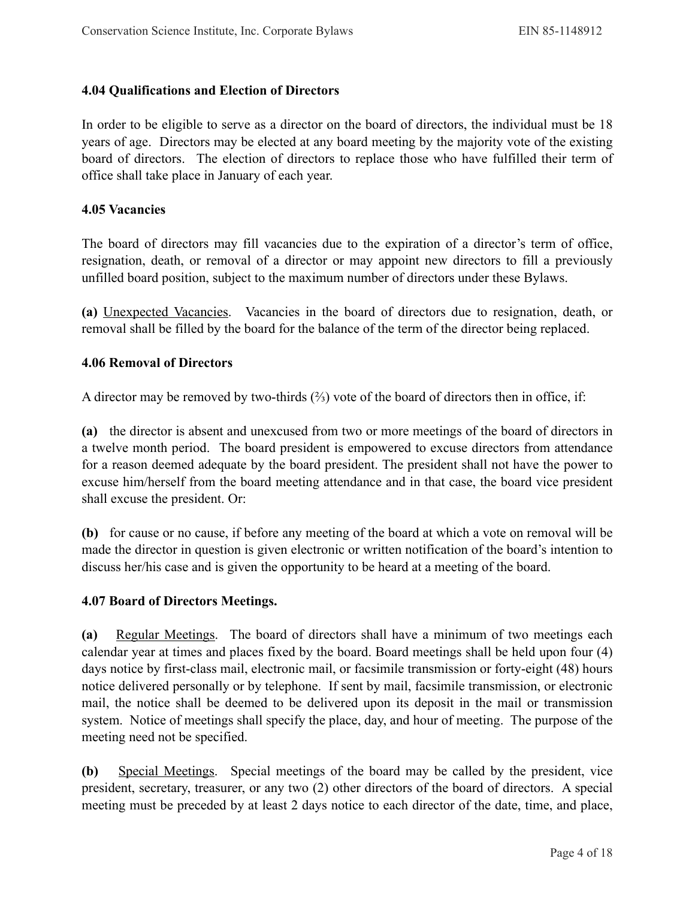## **4.04 Qualifications and Election of Directors**

In order to be eligible to serve as a director on the board of directors, the individual must be 18 years of age. Directors may be elected at any board meeting by the majority vote of the existing board of directors. The election of directors to replace those who have fulfilled their term of office shall take place in January of each year.

## **4.05 Vacancies**

The board of directors may fill vacancies due to the expiration of a director's term of office, resignation, death, or removal of a director or may appoint new directors to fill a previously unfilled board position, subject to the maximum number of directors under these Bylaws.

**(a)** Unexpected Vacancies.Vacancies in the board of directors due to resignation, death, or removal shall be filled by the board for the balance of the term of the director being replaced.

## **4.06 Removal of Directors**

A director may be removed by two-thirds (⅔) vote of the board of directors then in office, if:

**(a)** the director is absent and unexcused from two or more meetings of the board of directors in a twelve month period. The board president is empowered to excuse directors from attendance for a reason deemed adequate by the board president. The president shall not have the power to excuse him/herself from the board meeting attendance and in that case, the board vice president shall excuse the president. Or:

**(b)** for cause or no cause, if before any meeting of the board at which a vote on removal will be made the director in question is given electronic or written notification of the board's intention to discuss her/his case and is given the opportunity to be heard at a meeting of the board.

## **4.07 Board of Directors Meetings.**

**(a)** Regular Meetings. The board of directors shall have a minimum of two meetings each calendar year at times and places fixed by the board. Board meetings shall be held upon four (4) days notice by first-class mail, electronic mail, or facsimile transmission or forty-eight (48) hours notice delivered personally or by telephone. If sent by mail, facsimile transmission, or electronic mail, the notice shall be deemed to be delivered upon its deposit in the mail or transmission system. Notice of meetings shall specify the place, day, and hour of meeting. The purpose of the meeting need not be specified.

**(b)** Special Meetings. Special meetings of the board may be called by the president, vice president, secretary, treasurer, or any two (2) other directors of the board of directors. A special meeting must be preceded by at least 2 days notice to each director of the date, time, and place,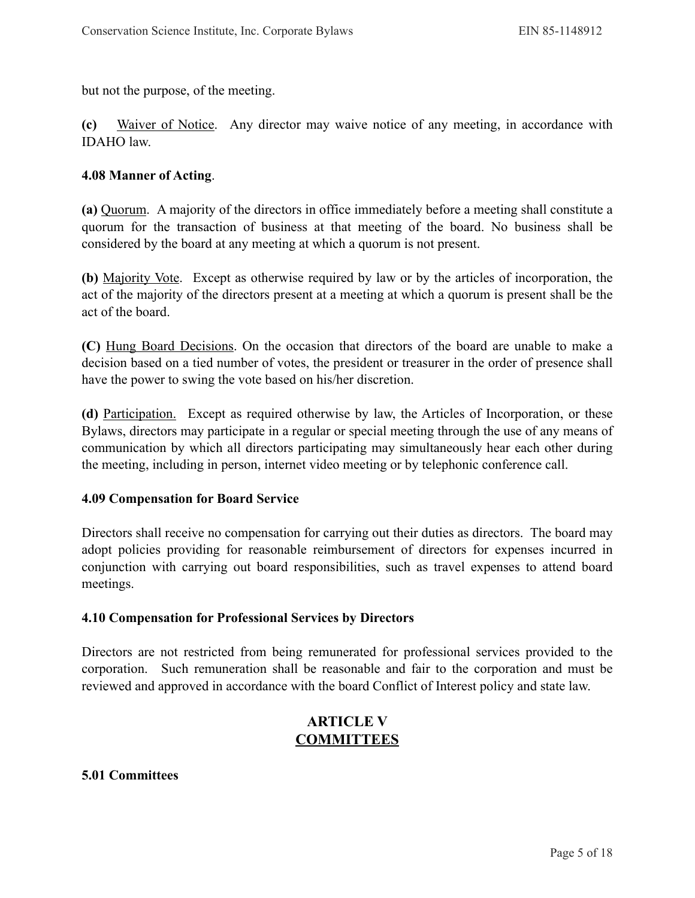but not the purpose, of the meeting.

**(c)** Waiver of Notice. Any director may waive notice of any meeting, in accordance with IDAHO law.

## **4.08 Manner of Acting**.

**(a)** Quorum. A majority of the directors in office immediately before a meeting shall constitute a quorum for the transaction of business at that meeting of the board. No business shall be considered by the board at any meeting at which a quorum is not present.

**(b)** Majority Vote.Except as otherwise required by law or by the articles of incorporation, the act of the majority of the directors present at a meeting at which a quorum is present shall be the act of the board.

**(C)** Hung Board Decisions. On the occasion that directors of the board are unable to make a decision based on a tied number of votes, the president or treasurer in the order of presence shall have the power to swing the vote based on his/her discretion.

**(d)** Participation.Except as required otherwise by law, the Articles of Incorporation, or these Bylaws, directors may participate in a regular or special meeting through the use of any means of communication by which all directors participating may simultaneously hear each other during the meeting, including in person, internet video meeting or by telephonic conference call.

## **4.09 Compensation for Board Service**

Directors shall receive no compensation for carrying out their duties as directors. The board may adopt policies providing for reasonable reimbursement of directors for expenses incurred in conjunction with carrying out board responsibilities, such as travel expenses to attend board meetings.

## **4.10 Compensation for Professional Services by Directors**

Directors are not restricted from being remunerated for professional services provided to the corporation. Such remuneration shall be reasonable and fair to the corporation and must be reviewed and approved in accordance with the board Conflict of Interest policy and state law.

## **ARTICLE V COMMITTEES**

## **5.01 Committees**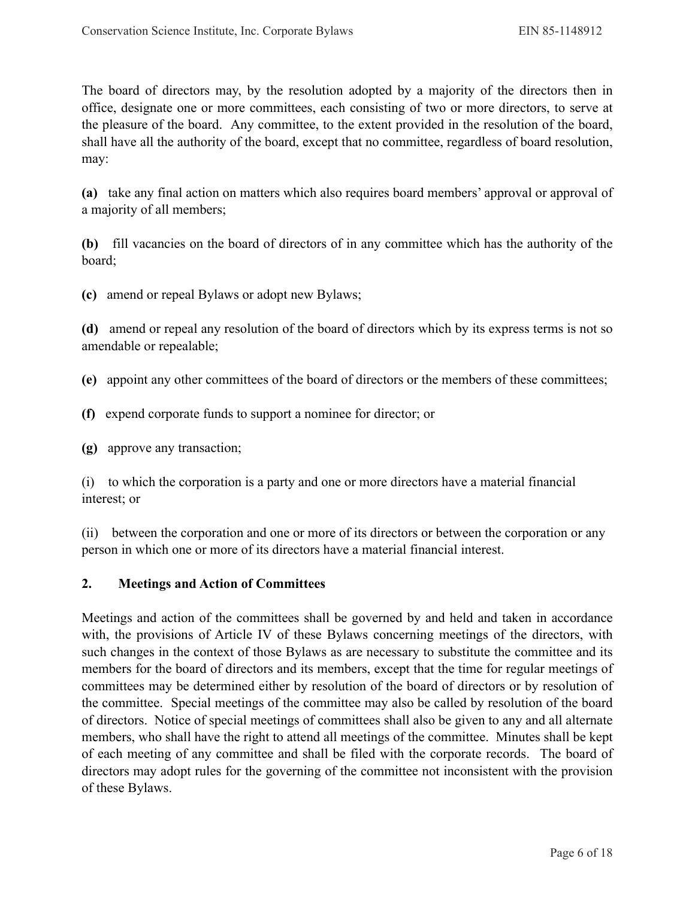The board of directors may, by the resolution adopted by a majority of the directors then in office, designate one or more committees, each consisting of two or more directors, to serve at the pleasure of the board. Any committee, to the extent provided in the resolution of the board, shall have all the authority of the board, except that no committee, regardless of board resolution, may:

**(a)** take any final action on matters which also requires board members' approval or approval of a majority of all members;

**(b)** fill vacancies on the board of directors of in any committee which has the authority of the board;

**(c)** amend or repeal Bylaws or adopt new Bylaws;

**(d)** amend or repeal any resolution of the board of directors which by its express terms is not so amendable or repealable;

**(e)** appoint any other committees of the board of directors or the members of these committees;

**(f)** expend corporate funds to support a nominee for director; or

**(g)** approve any transaction;

(i) to which the corporation is a party and one or more directors have a material financial interest; or

(ii) between the corporation and one or more of its directors or between the corporation or any person in which one or more of its directors have a material financial interest.

## **2. Meetings and Action of Committees**

Meetings and action of the committees shall be governed by and held and taken in accordance with, the provisions of Article IV of these Bylaws concerning meetings of the directors, with such changes in the context of those Bylaws as are necessary to substitute the committee and its members for the board of directors and its members, except that the time for regular meetings of committees may be determined either by resolution of the board of directors or by resolution of the committee. Special meetings of the committee may also be called by resolution of the board of directors. Notice of special meetings of committees shall also be given to any and all alternate members, who shall have the right to attend all meetings of the committee. Minutes shall be kept of each meeting of any committee and shall be filed with the corporate records. The board of directors may adopt rules for the governing of the committee not inconsistent with the provision of these Bylaws.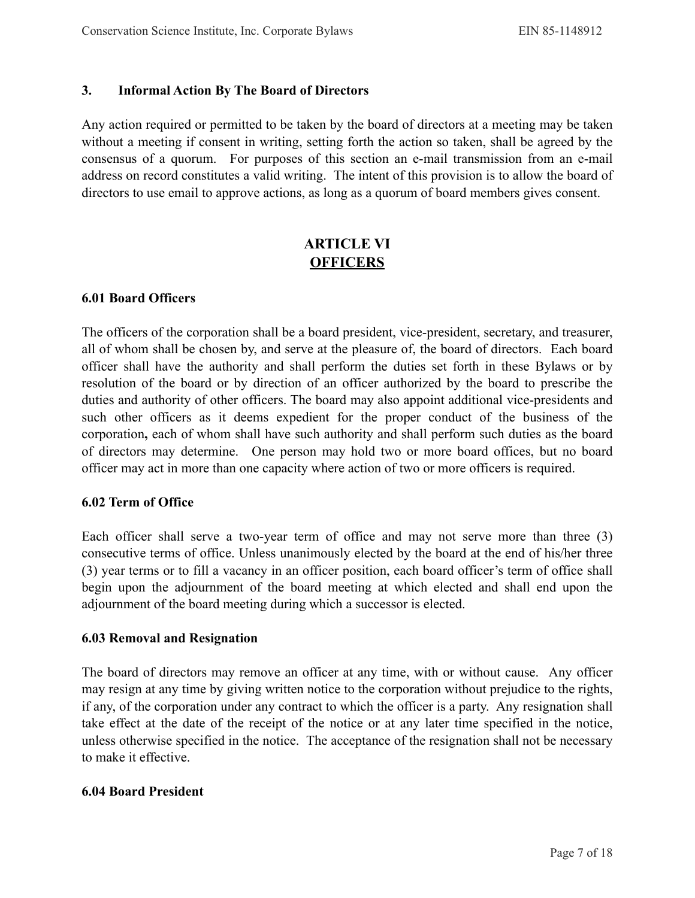#### **3. Informal Action By The Board of Directors**

Any action required or permitted to be taken by the board of directors at a meeting may be taken without a meeting if consent in writing, setting forth the action so taken, shall be agreed by the consensus of a quorum. For purposes of this section an e-mail transmission from an e-mail address on record constitutes a valid writing. The intent of this provision is to allow the board of directors to use email to approve actions, as long as a quorum of board members gives consent.

## **ARTICLE VI OFFICERS**

#### **6.01 Board Officers**

The officers of the corporation shall be a board president, vice-president, secretary, and treasurer, all of whom shall be chosen by, and serve at the pleasure of, the board of directors. Each board officer shall have the authority and shall perform the duties set forth in these Bylaws or by resolution of the board or by direction of an officer authorized by the board to prescribe the duties and authority of other officers. The board may also appoint additional vice-presidents and such other officers as it deems expedient for the proper conduct of the business of the corporation**,** each of whom shall have such authority and shall perform such duties as the board of directors may determine. One person may hold two or more board offices, but no board officer may act in more than one capacity where action of two or more officers is required.

## **6.02 Term of Office**

Each officer shall serve a two-year term of office and may not serve more than three (3) consecutive terms of office. Unless unanimously elected by the board at the end of his/her three (3) year terms or to fill a vacancy in an officer position, each board officer's term of office shall begin upon the adjournment of the board meeting at which elected and shall end upon the adjournment of the board meeting during which a successor is elected.

#### **6.03 Removal and Resignation**

The board of directors may remove an officer at any time, with or without cause. Any officer may resign at any time by giving written notice to the corporation without prejudice to the rights, if any, of the corporation under any contract to which the officer is a party. Any resignation shall take effect at the date of the receipt of the notice or at any later time specified in the notice, unless otherwise specified in the notice. The acceptance of the resignation shall not be necessary to make it effective.

## **6.04 Board President**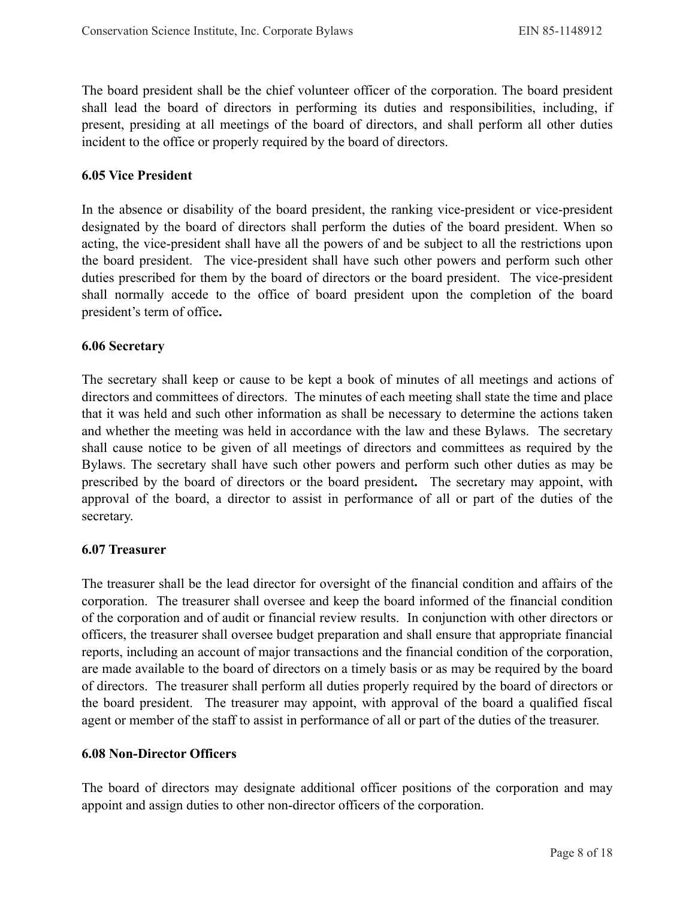The board president shall be the chief volunteer officer of the corporation. The board president shall lead the board of directors in performing its duties and responsibilities, including, if present, presiding at all meetings of the board of directors, and shall perform all other duties incident to the office or properly required by the board of directors.

#### **6.05 Vice President**

In the absence or disability of the board president, the ranking vice-president or vice-president designated by the board of directors shall perform the duties of the board president. When so acting, the vice-president shall have all the powers of and be subject to all the restrictions upon the board president. The vice-president shall have such other powers and perform such other duties prescribed for them by the board of directors or the board president. The vice-president shall normally accede to the office of board president upon the completion of the board president's term of office**.**

#### **6.06 Secretary**

The secretary shall keep or cause to be kept a book of minutes of all meetings and actions of directors and committees of directors. The minutes of each meeting shall state the time and place that it was held and such other information as shall be necessary to determine the actions taken and whether the meeting was held in accordance with the law and these Bylaws. The secretary shall cause notice to be given of all meetings of directors and committees as required by the Bylaws. The secretary shall have such other powers and perform such other duties as may be prescribed by the board of directors or the board president**.** The secretary may appoint, with approval of the board, a director to assist in performance of all or part of the duties of the secretary.

#### **6.07 Treasurer**

The treasurer shall be the lead director for oversight of the financial condition and affairs of the corporation. The treasurer shall oversee and keep the board informed of the financial condition of the corporation and of audit or financial review results. In conjunction with other directors or officers, the treasurer shall oversee budget preparation and shall ensure that appropriate financial reports, including an account of major transactions and the financial condition of the corporation, are made available to the board of directors on a timely basis or as may be required by the board of directors. The treasurer shall perform all duties properly required by the board of directors or the board president. The treasurer may appoint, with approval of the board a qualified fiscal agent or member of the staff to assist in performance of all or part of the duties of the treasurer.

#### **6.08 Non-Director Officers**

The board of directors may designate additional officer positions of the corporation and may appoint and assign duties to other non-director officers of the corporation.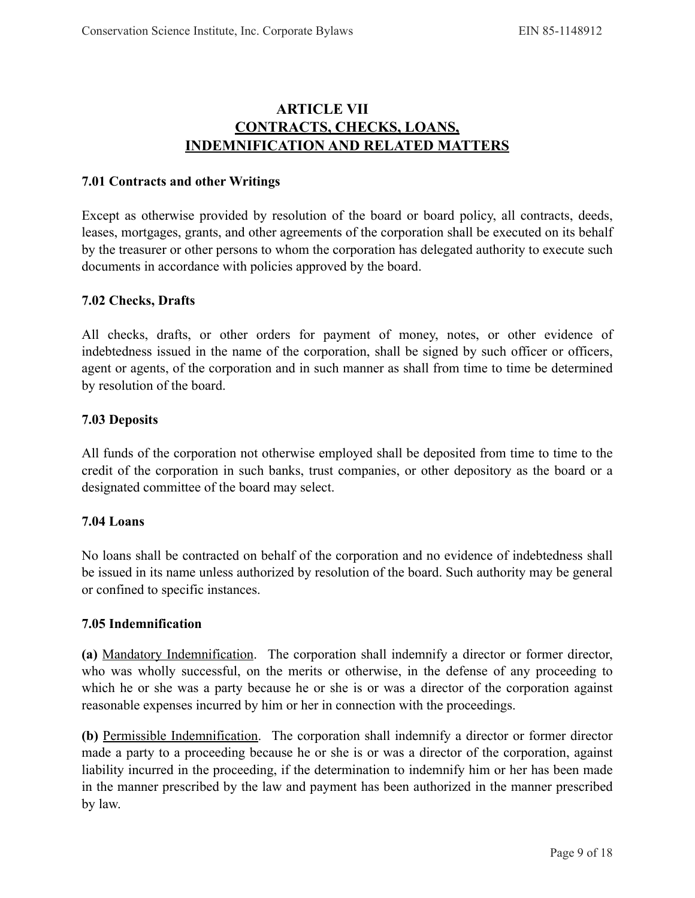## **ARTICLE VII CONTRACTS, CHECKS, LOANS, INDEMNIFICATION AND RELATED MATTERS**

## **7.01 Contracts and other Writings**

Except as otherwise provided by resolution of the board or board policy, all contracts, deeds, leases, mortgages, grants, and other agreements of the corporation shall be executed on its behalf by the treasurer or other persons to whom the corporation has delegated authority to execute such documents in accordance with policies approved by the board.

## **7.02 Checks, Drafts**

All checks, drafts, or other orders for payment of money, notes, or other evidence of indebtedness issued in the name of the corporation, shall be signed by such officer or officers, agent or agents, of the corporation and in such manner as shall from time to time be determined by resolution of the board.

## **7.03 Deposits**

All funds of the corporation not otherwise employed shall be deposited from time to time to the credit of the corporation in such banks, trust companies, or other depository as the board or a designated committee of the board may select.

## **7.04 Loans**

No loans shall be contracted on behalf of the corporation and no evidence of indebtedness shall be issued in its name unless authorized by resolution of the board. Such authority may be general or confined to specific instances.

## **7.05 Indemnification**

**(a)** Mandatory Indemnification.The corporation shall indemnify a director or former director, who was wholly successful, on the merits or otherwise, in the defense of any proceeding to which he or she was a party because he or she is or was a director of the corporation against reasonable expenses incurred by him or her in connection with the proceedings.

**(b)** Permissible Indemnification.The corporation shall indemnify a director or former director made a party to a proceeding because he or she is or was a director of the corporation, against liability incurred in the proceeding, if the determination to indemnify him or her has been made in the manner prescribed by the law and payment has been authorized in the manner prescribed by law.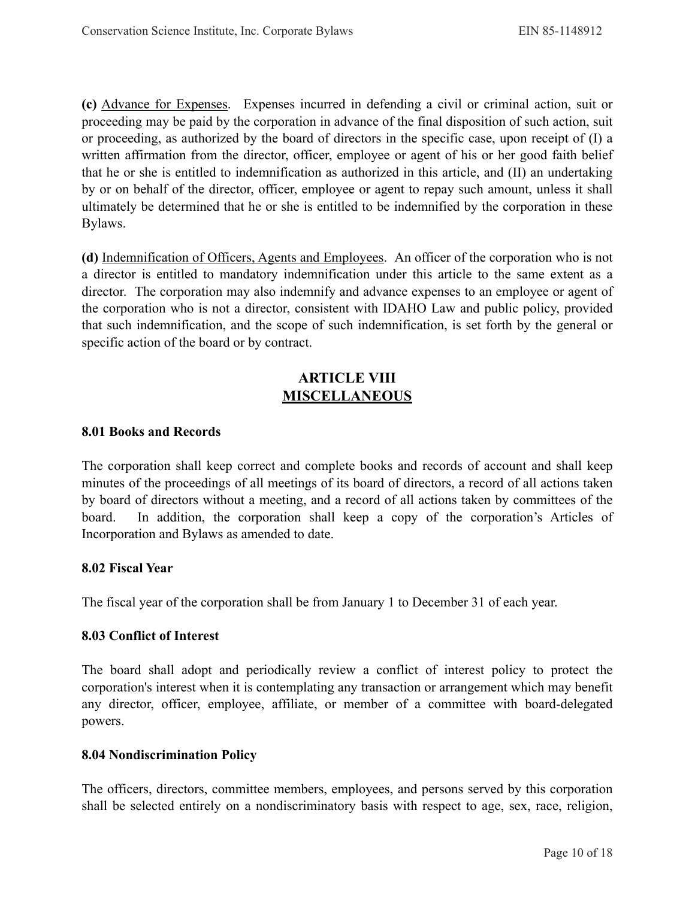**(c)** Advance for Expenses.Expenses incurred in defending a civil or criminal action, suit or proceeding may be paid by the corporation in advance of the final disposition of such action, suit or proceeding, as authorized by the board of directors in the specific case, upon receipt of (I) a written affirmation from the director, officer, employee or agent of his or her good faith belief that he or she is entitled to indemnification as authorized in this article, and (II) an undertaking by or on behalf of the director, officer, employee or agent to repay such amount, unless it shall ultimately be determined that he or she is entitled to be indemnified by the corporation in these Bylaws.

**(d)** Indemnification of Officers, Agents and Employees.An officer of the corporation who is not a director is entitled to mandatory indemnification under this article to the same extent as a director. The corporation may also indemnify and advance expenses to an employee or agent of the corporation who is not a director, consistent with IDAHO Law and public policy, provided that such indemnification, and the scope of such indemnification, is set forth by the general or specific action of the board or by contract.

## **ARTICLE VIII MISCELLANEOUS**

## **8.01 Books and Records**

The corporation shall keep correct and complete books and records of account and shall keep minutes of the proceedings of all meetings of its board of directors, a record of all actions taken by board of directors without a meeting, and a record of all actions taken by committees of the board. In addition, the corporation shall keep a copy of the corporation's Articles of Incorporation and Bylaws as amended to date.

## **8.02 Fiscal Year**

The fiscal year of the corporation shall be from January 1 to December 31 of each year.

## **8.03 Conflict of Interest**

The board shall adopt and periodically review a conflict of interest policy to protect the corporation's interest when it is contemplating any transaction or arrangement which may benefit any director, officer, employee, affiliate, or member of a committee with board-delegated powers.

## **8.04 Nondiscrimination Policy**

The officers, directors, committee members, employees, and persons served by this corporation shall be selected entirely on a nondiscriminatory basis with respect to age, sex, race, religion,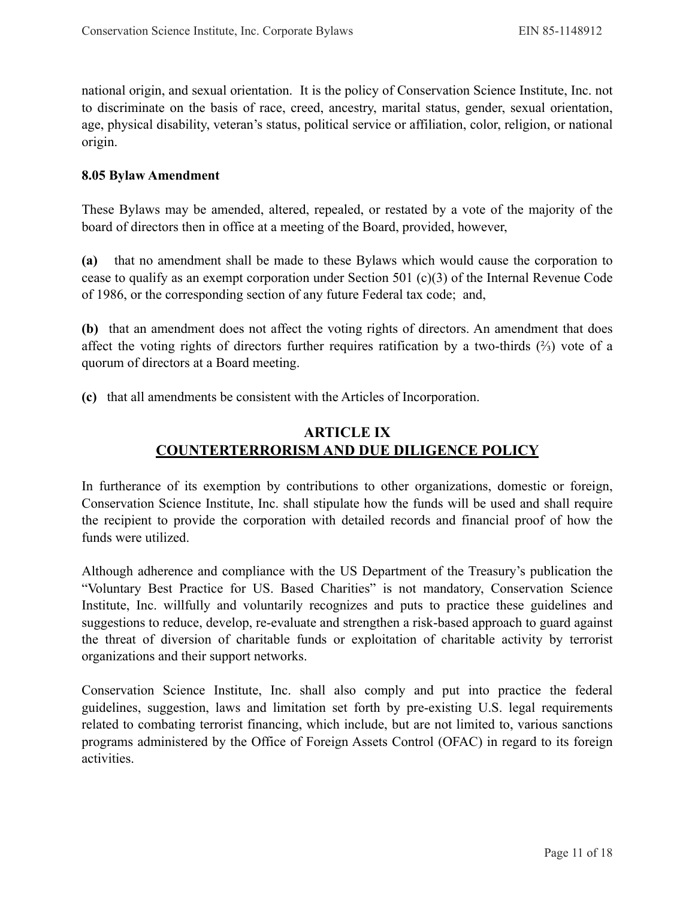national origin, and sexual orientation. It is the policy of Conservation Science Institute, Inc. not to discriminate on the basis of race, creed, ancestry, marital status, gender, sexual orientation, age, physical disability, veteran's status, political service or affiliation, color, religion, or national origin.

#### **8.05 Bylaw Amendment**

These Bylaws may be amended, altered, repealed, or restated by a vote of the majority of the board of directors then in office at a meeting of the Board, provided, however,

**(a)** that no amendment shall be made to these Bylaws which would cause the corporation to cease to qualify as an exempt corporation under Section 501 (c)(3) of the Internal Revenue Code of 1986, or the corresponding section of any future Federal tax code; and,

**(b)** that an amendment does not affect the voting rights of directors. An amendment that does affect the voting rights of directors further requires ratification by a two-thirds (⅔) vote of a quorum of directors at a Board meeting.

**(c)** that all amendments be consistent with the Articles of Incorporation.

## **ARTICLE IX COUNTERTERRORISM AND DUE DILIGENCE POLICY**

In furtherance of its exemption by contributions to other organizations, domestic or foreign, Conservation Science Institute, Inc. shall stipulate how the funds will be used and shall require the recipient to provide the corporation with detailed records and financial proof of how the funds were utilized.

Although adherence and compliance with the US Department of the Treasury's publication the "Voluntary Best Practice for US. Based Charities" is not mandatory, Conservation Science Institute, Inc. willfully and voluntarily recognizes and puts to practice these guidelines and suggestions to reduce, develop, re-evaluate and strengthen a risk-based approach to guard against the threat of diversion of charitable funds or exploitation of charitable activity by terrorist organizations and their support networks.

Conservation Science Institute, Inc. shall also comply and put into practice the federal guidelines, suggestion, laws and limitation set forth by pre-existing U.S. legal requirements related to combating terrorist financing, which include, but are not limited to, various sanctions programs administered by the Office of Foreign Assets Control (OFAC) in regard to its foreign activities.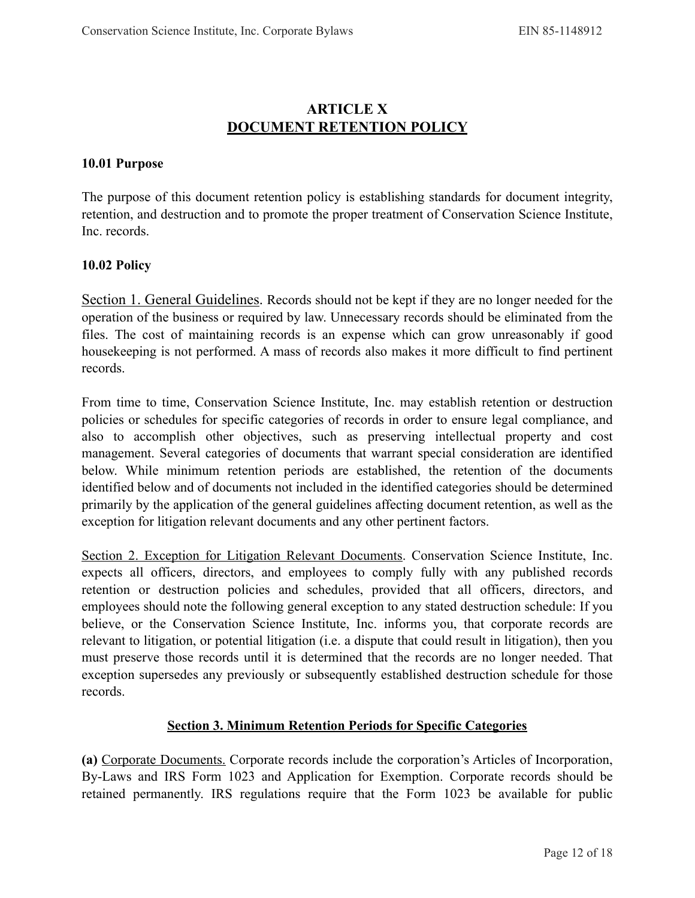## **ARTICLE X DOCUMENT RETENTION POLICY**

## **10.01 Purpose**

The purpose of this document retention policy is establishing standards for document integrity, retention, and destruction and to promote the proper treatment of Conservation Science Institute, Inc. records.

## **10.02 Policy**

Section 1. General Guidelines. Records should not be kept if they are no longer needed for the operation of the business or required by law. Unnecessary records should be eliminated from the files. The cost of maintaining records is an expense which can grow unreasonably if good housekeeping is not performed. A mass of records also makes it more difficult to find pertinent records.

From time to time, Conservation Science Institute, Inc. may establish retention or destruction policies or schedules for specific categories of records in order to ensure legal compliance, and also to accomplish other objectives, such as preserving intellectual property and cost management. Several categories of documents that warrant special consideration are identified below. While minimum retention periods are established, the retention of the documents identified below and of documents not included in the identified categories should be determined primarily by the application of the general guidelines affecting document retention, as well as the exception for litigation relevant documents and any other pertinent factors.

Section 2. Exception for Litigation Relevant Documents. Conservation Science Institute, Inc. expects all officers, directors, and employees to comply fully with any published records retention or destruction policies and schedules, provided that all officers, directors, and employees should note the following general exception to any stated destruction schedule: If you believe, or the Conservation Science Institute, Inc. informs you, that corporate records are relevant to litigation, or potential litigation (i.e. a dispute that could result in litigation), then you must preserve those records until it is determined that the records are no longer needed. That exception supersedes any previously or subsequently established destruction schedule for those records.

## **Section 3. Minimum Retention Periods for Specific Categories**

**(a)** Corporate Documents. Corporate records include the corporation's Articles of Incorporation, By-Laws and IRS Form 1023 and Application for Exemption. Corporate records should be retained permanently. IRS regulations require that the Form 1023 be available for public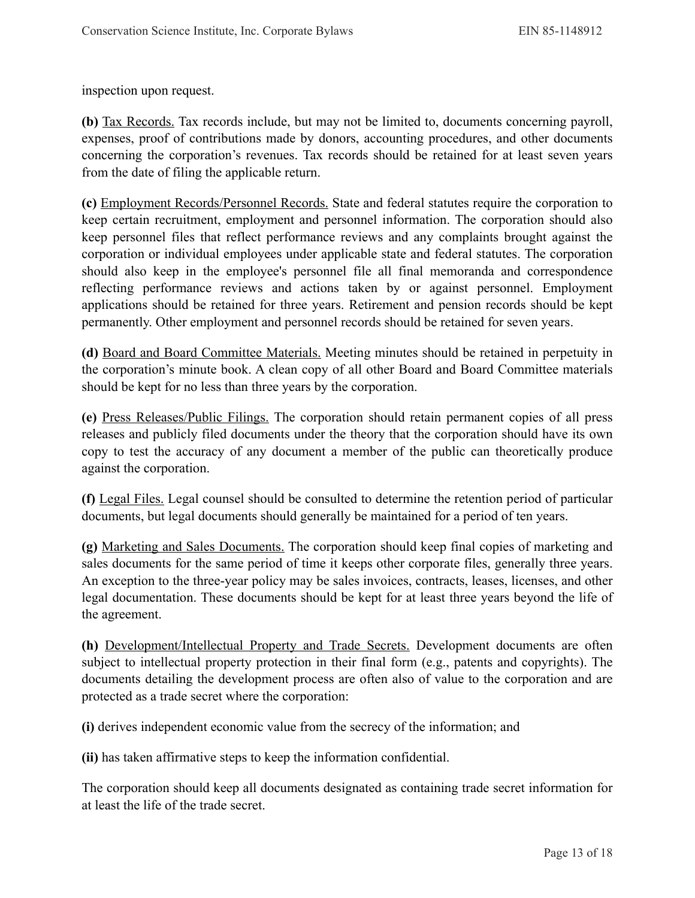inspection upon request.

**(b)** Tax Records. Tax records include, but may not be limited to, documents concerning payroll, expenses, proof of contributions made by donors, accounting procedures, and other documents concerning the corporation's revenues. Tax records should be retained for at least seven years from the date of filing the applicable return.

**(c)** Employment Records/Personnel Records. State and federal statutes require the corporation to keep certain recruitment, employment and personnel information. The corporation should also keep personnel files that reflect performance reviews and any complaints brought against the corporation or individual employees under applicable state and federal statutes. The corporation should also keep in the employee's personnel file all final memoranda and correspondence reflecting performance reviews and actions taken by or against personnel. Employment applications should be retained for three years. Retirement and pension records should be kept permanently. Other employment and personnel records should be retained for seven years.

**(d)** Board and Board Committee Materials. Meeting minutes should be retained in perpetuity in the corporation's minute book. A clean copy of all other Board and Board Committee materials should be kept for no less than three years by the corporation.

**(e)** Press Releases/Public Filings. The corporation should retain permanent copies of all press releases and publicly filed documents under the theory that the corporation should have its own copy to test the accuracy of any document a member of the public can theoretically produce against the corporation.

**(f)** Legal Files. Legal counsel should be consulted to determine the retention period of particular documents, but legal documents should generally be maintained for a period of ten years.

**(g)** Marketing and Sales Documents. The corporation should keep final copies of marketing and sales documents for the same period of time it keeps other corporate files, generally three years. An exception to the three-year policy may be sales invoices, contracts, leases, licenses, and other legal documentation. These documents should be kept for at least three years beyond the life of the agreement.

**(h)** Development/Intellectual Property and Trade Secrets. Development documents are often subject to intellectual property protection in their final form (e.g., patents and copyrights). The documents detailing the development process are often also of value to the corporation and are protected as a trade secret where the corporation:

**(i)** derives independent economic value from the secrecy of the information; and

**(ii)** has taken affirmative steps to keep the information confidential.

The corporation should keep all documents designated as containing trade secret information for at least the life of the trade secret.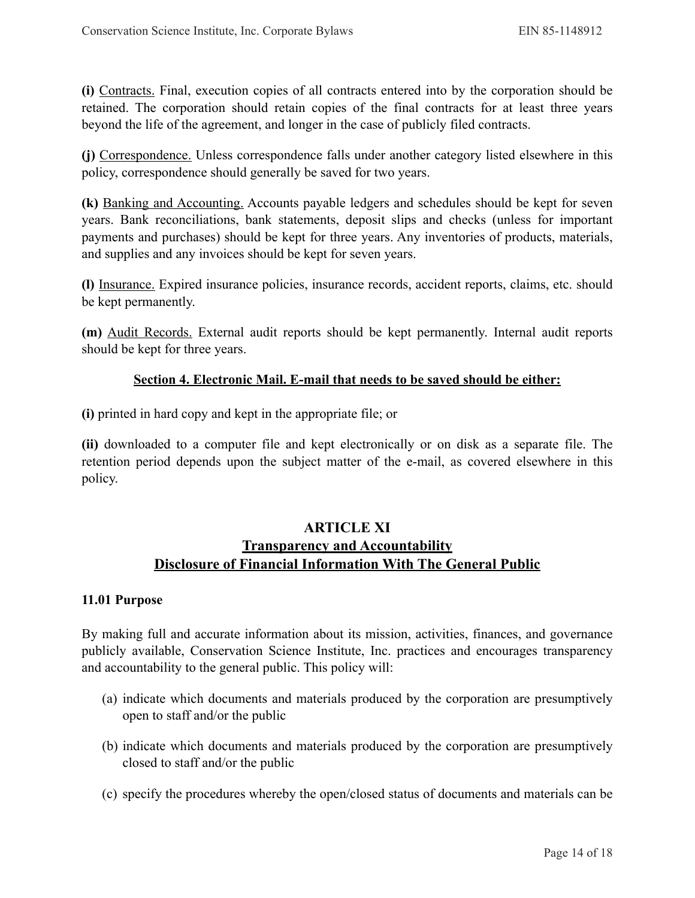**(i)** Contracts. Final, execution copies of all contracts entered into by the corporation should be retained. The corporation should retain copies of the final contracts for at least three years beyond the life of the agreement, and longer in the case of publicly filed contracts.

**(j)** Correspondence. Unless correspondence falls under another category listed elsewhere in this policy, correspondence should generally be saved for two years.

**(k)** Banking and Accounting. Accounts payable ledgers and schedules should be kept for seven years. Bank reconciliations, bank statements, deposit slips and checks (unless for important payments and purchases) should be kept for three years. Any inventories of products, materials, and supplies and any invoices should be kept for seven years.

**(l)** Insurance. Expired insurance policies, insurance records, accident reports, claims, etc. should be kept permanently.

**(m)** Audit Records. External audit reports should be kept permanently. Internal audit reports should be kept for three years.

## **Section 4. Electronic Mail. E-mail that needs to be saved should be either:**

**(i)** printed in hard copy and kept in the appropriate file; or

**(ii)** downloaded to a computer file and kept electronically or on disk as a separate file. The retention period depends upon the subject matter of the e-mail, as covered elsewhere in this policy.

## **ARTICLE XI Transparency and Accountability Disclosure of Financial Information With The General Public**

## **11.01 Purpose**

By making full and accurate information about its mission, activities, finances, and governance publicly available, Conservation Science Institute, Inc. practices and encourages transparency and accountability to the general public. This policy will:

- (a) indicate which documents and materials produced by the corporation are presumptively open to staff and/or the public
- (b) indicate which documents and materials produced by the corporation are presumptively closed to staff and/or the public
- (c) specify the procedures whereby the open/closed status of documents and materials can be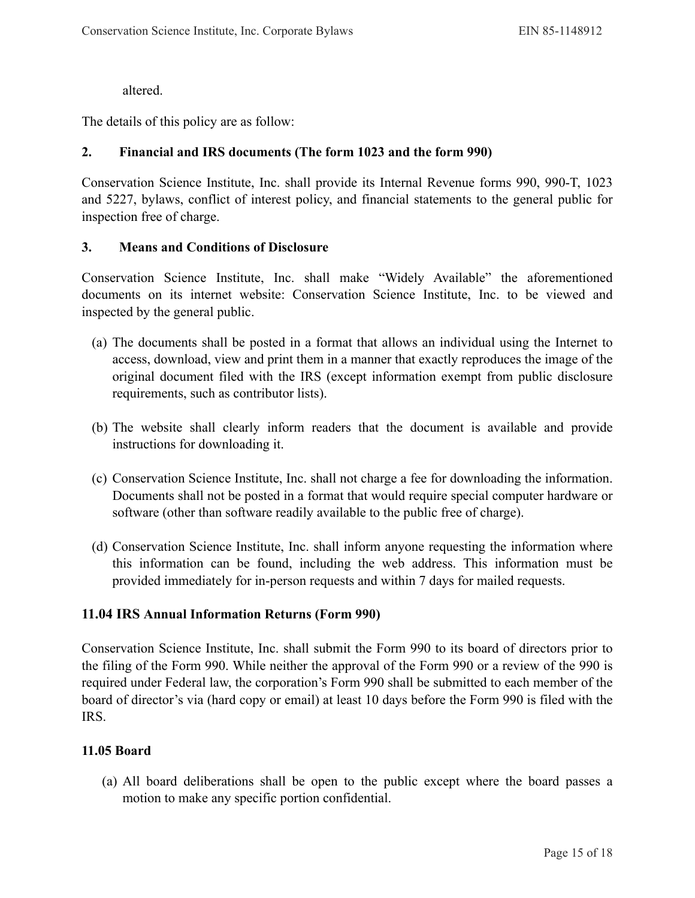altered.

The details of this policy are as follow:

## **2. Financial and IRS documents (The form 1023 and the form 990)**

Conservation Science Institute, Inc. shall provide its Internal Revenue forms 990, 990-T, 1023 and 5227, bylaws, conflict of interest policy, and financial statements to the general public for inspection free of charge.

## **3. Means and Conditions of Disclosure**

Conservation Science Institute, Inc. shall make "Widely Available" the aforementioned documents on its internet website: Conservation Science Institute, Inc. to be viewed and inspected by the general public.

- (a) The documents shall be posted in a format that allows an individual using the Internet to access, download, view and print them in a manner that exactly reproduces the image of the original document filed with the IRS (except information exempt from public disclosure requirements, such as contributor lists).
- (b) The website shall clearly inform readers that the document is available and provide instructions for downloading it.
- (c) Conservation Science Institute, Inc. shall not charge a fee for downloading the information. Documents shall not be posted in a format that would require special computer hardware or software (other than software readily available to the public free of charge).
- (d) Conservation Science Institute, Inc. shall inform anyone requesting the information where this information can be found, including the web address. This information must be provided immediately for in-person requests and within 7 days for mailed requests.

## **11.04 IRS Annual Information Returns (Form 990)**

Conservation Science Institute, Inc. shall submit the Form 990 to its board of directors prior to the filing of the Form 990. While neither the approval of the Form 990 or a review of the 990 is required under Federal law, the corporation's Form 990 shall be submitted to each member of the board of director's via (hard copy or email) at least 10 days before the Form 990 is filed with the IRS.

## **11.05 Board**

(a) All board deliberations shall be open to the public except where the board passes a motion to make any specific portion confidential.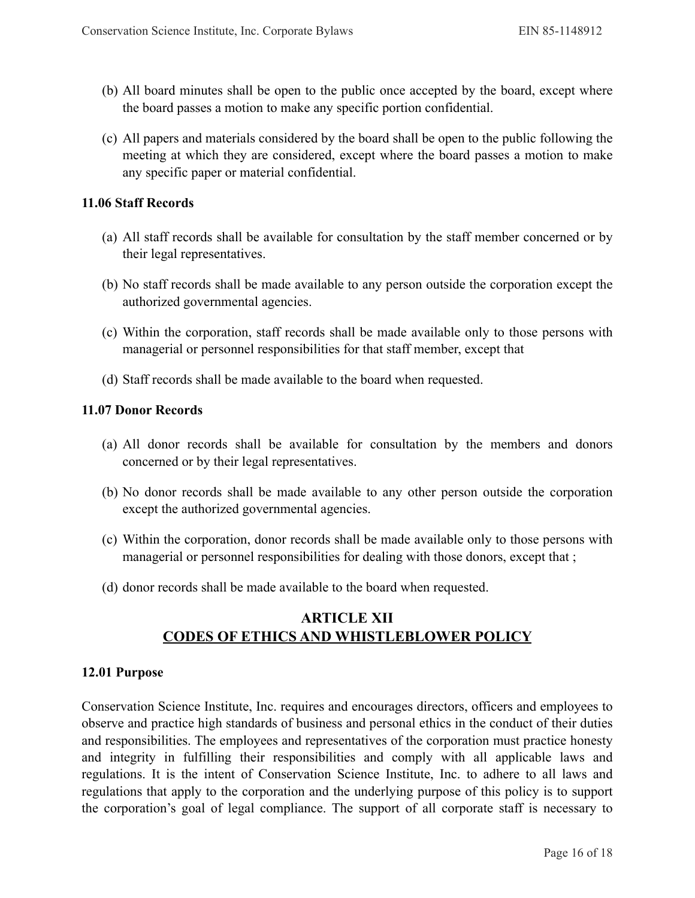- (b) All board minutes shall be open to the public once accepted by the board, except where the board passes a motion to make any specific portion confidential.
- (c) All papers and materials considered by the board shall be open to the public following the meeting at which they are considered, except where the board passes a motion to make any specific paper or material confidential.

## **11.06 Staff Records**

- (a) All staff records shall be available for consultation by the staff member concerned or by their legal representatives.
- (b) No staff records shall be made available to any person outside the corporation except the authorized governmental agencies.
- (c) Within the corporation, staff records shall be made available only to those persons with managerial or personnel responsibilities for that staff member, except that
- (d) Staff records shall be made available to the board when requested.

#### **11.07 Donor Records**

- (a) All donor records shall be available for consultation by the members and donors concerned or by their legal representatives.
- (b) No donor records shall be made available to any other person outside the corporation except the authorized governmental agencies.
- (c) Within the corporation, donor records shall be made available only to those persons with managerial or personnel responsibilities for dealing with those donors, except that ;
- (d) donor records shall be made available to the board when requested.

## **ARTICLE XII CODES OF ETHICS AND WHISTLEBLOWER POLICY**

#### **12.01 Purpose**

Conservation Science Institute, Inc. requires and encourages directors, officers and employees to observe and practice high standards of business and personal ethics in the conduct of their duties and responsibilities. The employees and representatives of the corporation must practice honesty and integrity in fulfilling their responsibilities and comply with all applicable laws and regulations. It is the intent of Conservation Science Institute, Inc. to adhere to all laws and regulations that apply to the corporation and the underlying purpose of this policy is to support the corporation's goal of legal compliance. The support of all corporate staff is necessary to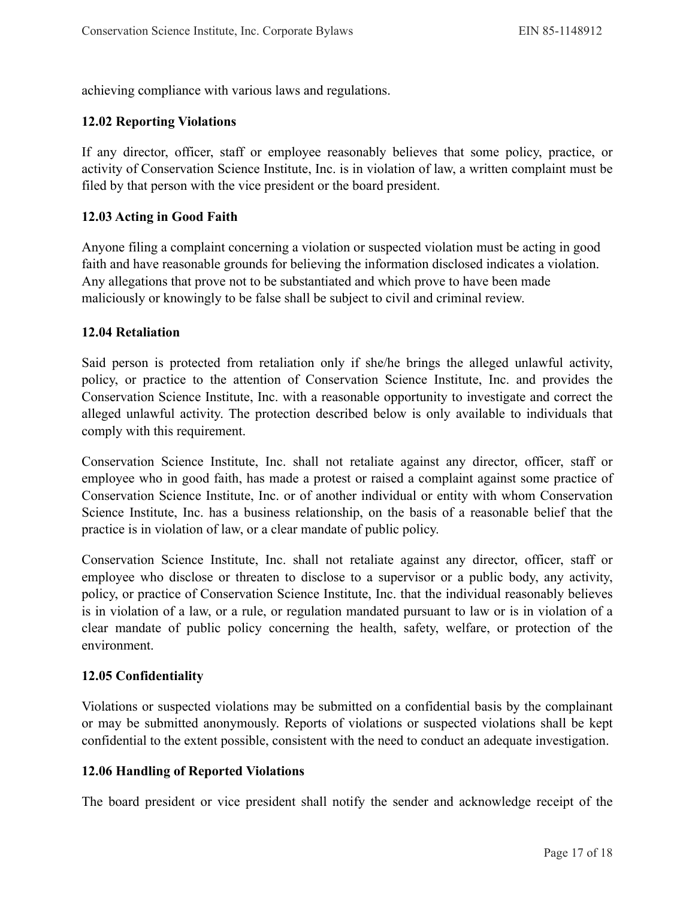achieving compliance with various laws and regulations.

## **12.02 Reporting Violations**

If any director, officer, staff or employee reasonably believes that some policy, practice, or activity of Conservation Science Institute, Inc. is in violation of law, a written complaint must be filed by that person with the vice president or the board president.

#### **12.03 Acting in Good Faith**

Anyone filing a complaint concerning a violation or suspected violation must be acting in good faith and have reasonable grounds for believing the information disclosed indicates a violation. Any allegations that prove not to be substantiated and which prove to have been made maliciously or knowingly to be false shall be subject to civil and criminal review.

#### **12.04 Retaliation**

Said person is protected from retaliation only if she/he brings the alleged unlawful activity, policy, or practice to the attention of Conservation Science Institute, Inc. and provides the Conservation Science Institute, Inc. with a reasonable opportunity to investigate and correct the alleged unlawful activity. The protection described below is only available to individuals that comply with this requirement.

Conservation Science Institute, Inc. shall not retaliate against any director, officer, staff or employee who in good faith, has made a protest or raised a complaint against some practice of Conservation Science Institute, Inc. or of another individual or entity with whom Conservation Science Institute, Inc. has a business relationship, on the basis of a reasonable belief that the practice is in violation of law, or a clear mandate of public policy.

Conservation Science Institute, Inc. shall not retaliate against any director, officer, staff or employee who disclose or threaten to disclose to a supervisor or a public body, any activity, policy, or practice of Conservation Science Institute, Inc. that the individual reasonably believes is in violation of a law, or a rule, or regulation mandated pursuant to law or is in violation of a clear mandate of public policy concerning the health, safety, welfare, or protection of the environment.

## **12.05 Confidentiality**

Violations or suspected violations may be submitted on a confidential basis by the complainant or may be submitted anonymously. Reports of violations or suspected violations shall be kept confidential to the extent possible, consistent with the need to conduct an adequate investigation.

## **12.06 Handling of Reported Violations**

The board president or vice president shall notify the sender and acknowledge receipt of the